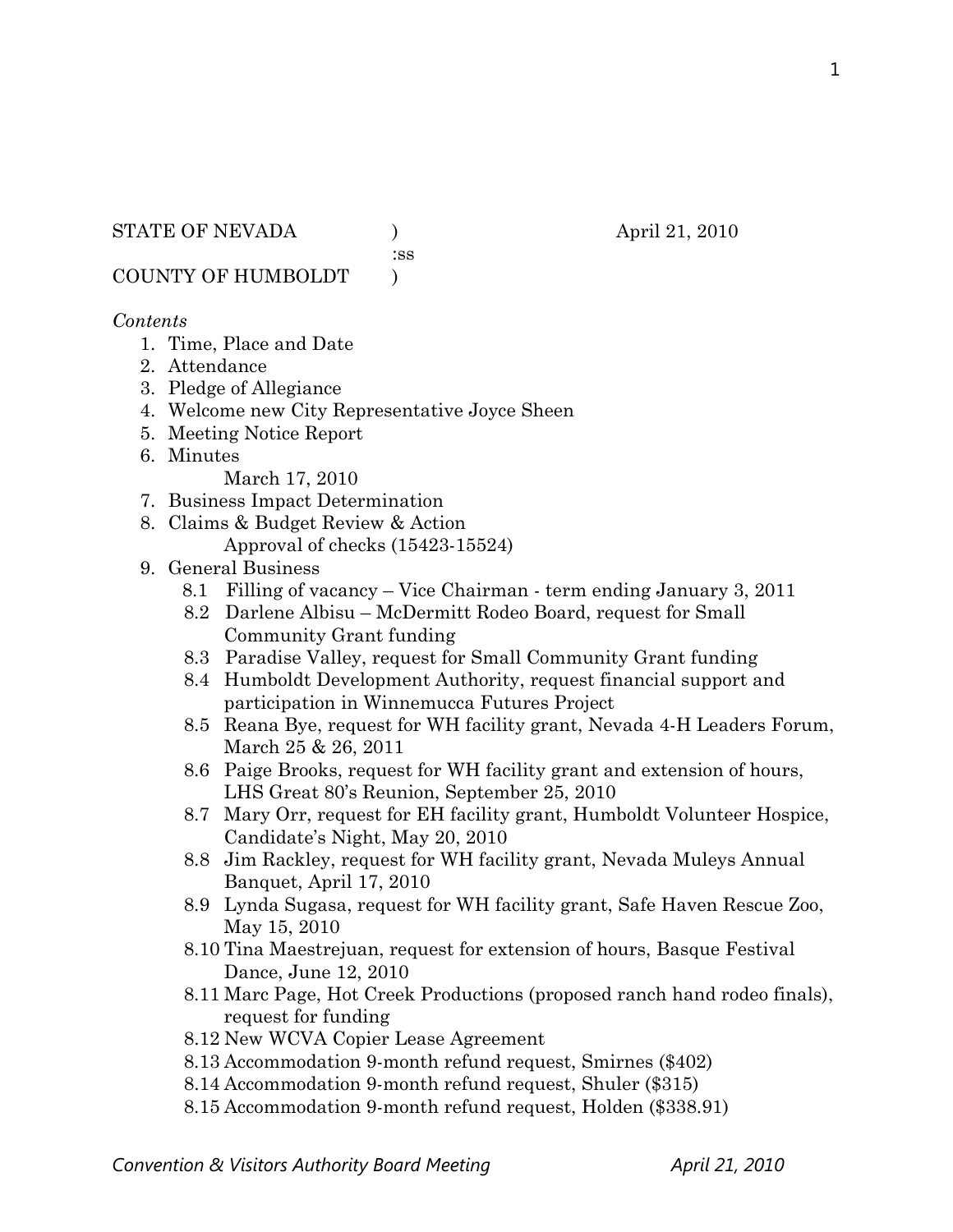#### STATE OF NEVADA (a) (b) april 21, 2010

:ss

COUNTY OF HUMBOLDT )

#### *Contents*

- 1. Time, Place and Date
- 2. Attendance
- 3. Pledge of Allegiance
- 4. Welcome new City Representative Joyce Sheen
- 5. Meeting Notice Report
- 6. Minutes

March 17, 2010

- 7. Business Impact Determination
- 8. Claims & Budget Review & Action
	- Approval of checks (15423-15524)
- 9. General Business
	- 8.1 Filling of vacancy Vice Chairman term ending January 3, 2011
	- 8.2 Darlene Albisu McDermitt Rodeo Board, request for Small Community Grant funding
	- 8.3 Paradise Valley, request for Small Community Grant funding
	- 8.4 Humboldt Development Authority, request financial support and participation in Winnemucca Futures Project
	- 8.5 Reana Bye, request for WH facility grant, Nevada 4-H Leaders Forum, March 25 & 26, 2011
	- 8.6 Paige Brooks, request for WH facility grant and extension of hours, LHS Great 80's Reunion, September 25, 2010
	- 8.7 Mary Orr, request for EH facility grant, Humboldt Volunteer Hospice, Candidate's Night, May 20, 2010
	- 8.8 Jim Rackley, request for WH facility grant, Nevada Muleys Annual Banquet, April 17, 2010
	- 8.9 Lynda Sugasa, request for WH facility grant, Safe Haven Rescue Zoo, May 15, 2010
	- 8.10 Tina Maestrejuan, request for extension of hours, Basque Festival Dance, June 12, 2010
	- 8.11 Marc Page, Hot Creek Productions (proposed ranch hand rodeo finals), request for funding
	- 8.12 New WCVA Copier Lease Agreement
	- 8.13 Accommodation 9-month refund request, Smirnes (\$402)
	- 8.14 Accommodation 9-month refund request, Shuler (\$315)
	- 8.15 Accommodation 9-month refund request, Holden (\$338.91)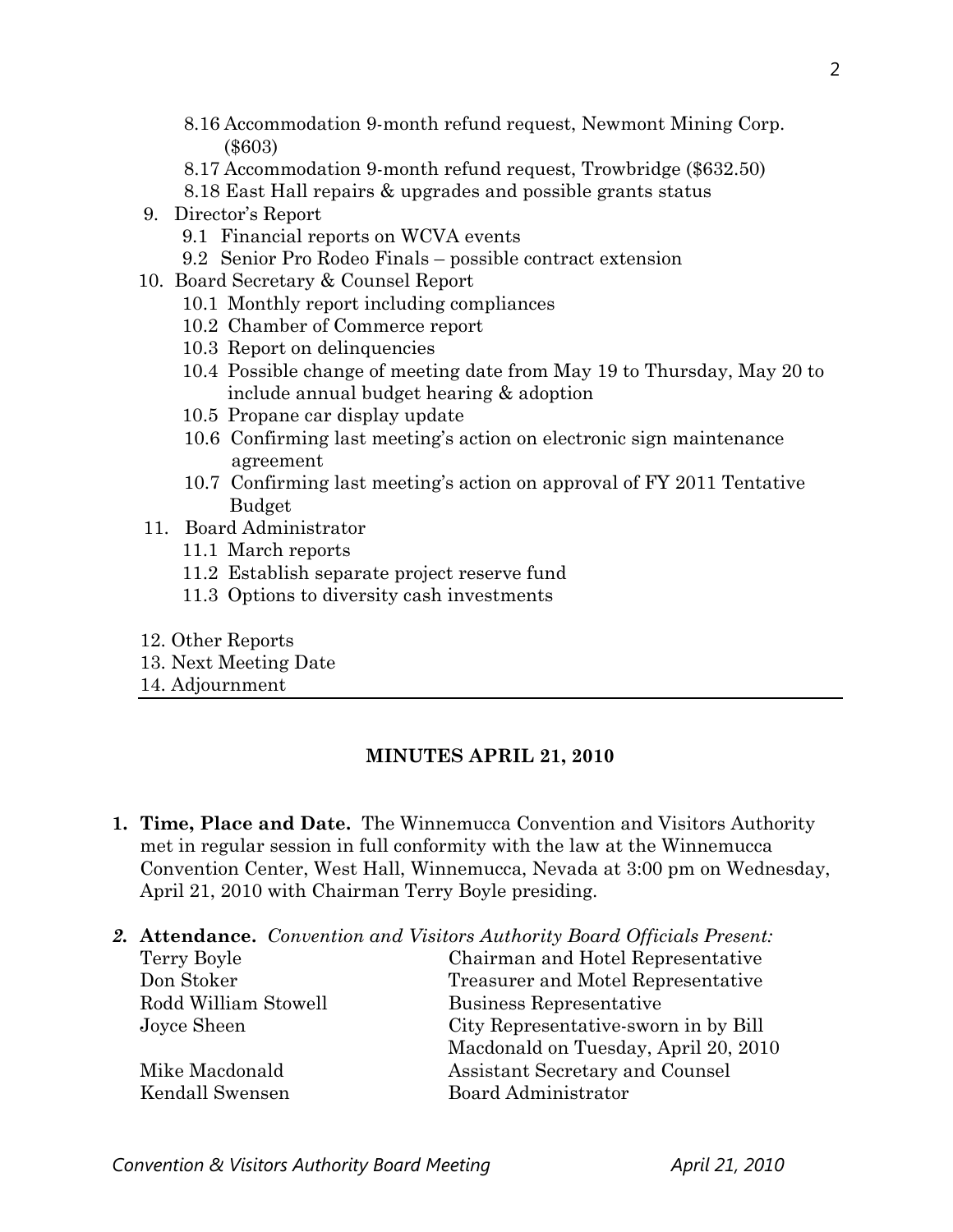- 8.16 Accommodation 9-month refund request, Newmont Mining Corp. (\$603)
- 8.17 Accommodation 9-month refund request, Trowbridge (\$632.50)
- 8.18 East Hall repairs & upgrades and possible grants status
- 9. Director's Report
	- 9.1 Financial reports on WCVA events
	- 9.2 Senior Pro Rodeo Finals possible contract extension
- 10. Board Secretary & Counsel Report
	- 10.1 Monthly report including compliances
	- 10.2 Chamber of Commerce report
	- 10.3 Report on delinquencies
	- 10.4 Possible change of meeting date from May 19 to Thursday, May 20 to include annual budget hearing & adoption
	- 10.5 Propane car display update
	- 10.6 Confirming last meeting's action on electronic sign maintenance agreement
	- 10.7 Confirming last meeting's action on approval of FY 2011 Tentative Budget
- 11. Board Administrator
	- 11.1 March reports
	- 11.2 Establish separate project reserve fund
	- 11.3 Options to diversity cash investments
- 12. Other Reports
- 13. Next Meeting Date
- 14. Adjournment

## **MINUTES APRIL 21, 2010**

- **1. Time, Place and Date.** The Winnemucca Convention and Visitors Authority met in regular session in full conformity with the law at the Winnemucca Convention Center, West Hall, Winnemucca, Nevada at 3:00 pm on Wednesday, April 21, 2010 with Chairman Terry Boyle presiding.
- *2.* **Attendance.** *Convention and Visitors Authority Board Officials Present:*

| Chairman and Hotel Representative    |  |
|--------------------------------------|--|
| Treasurer and Motel Representative   |  |
| Business Representative              |  |
| City Representative-sworn in by Bill |  |
| Macdonald on Tuesday, April 20, 2010 |  |
| Assistant Secretary and Counsel      |  |
| Board Administrator                  |  |
|                                      |  |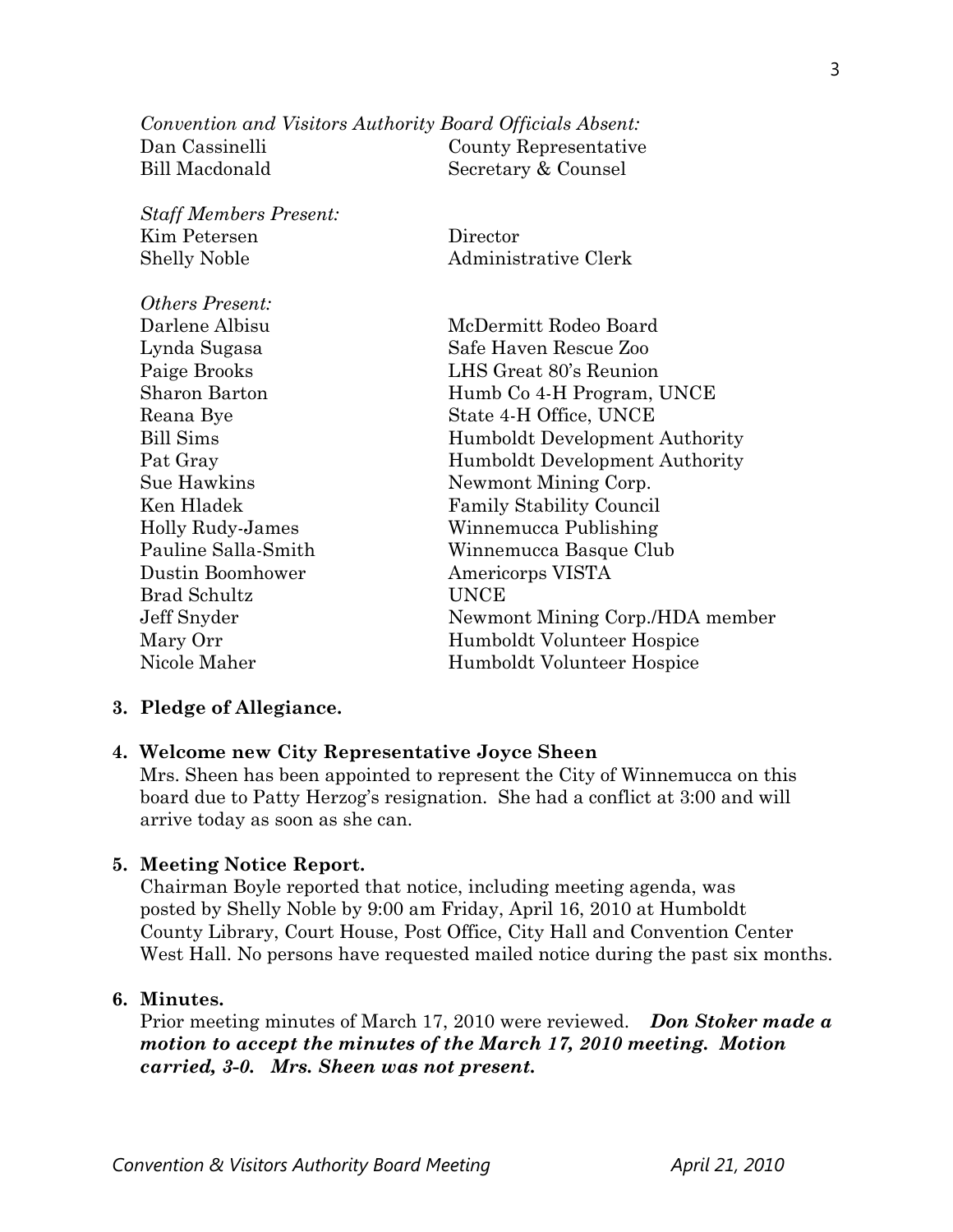*Convention and Visitors Authority Board Officials Absent:*  Dan Cassinelli County Representative Bill Macdonald Secretary & Counsel

| <b>Staff Members Present:</b> |                                 |
|-------------------------------|---------------------------------|
| Kim Petersen                  | Director                        |
| <b>Shelly Noble</b>           | Administrative Clerk            |
| <i><b>Others Present:</b></i> |                                 |
| Darlene Albisu                | McDermitt Rodeo Board           |
| Lynda Sugasa                  | Safe Haven Rescue Zoo           |
| Paige Brooks                  | LHS Great 80's Reunion          |
| Sharon Barton                 | Humb Co 4-H Program, UNCE       |
| Reana Bye                     | State 4-H Office, UNCE          |
| <b>Bill Sims</b>              | Humboldt Development Authority  |
| Pat Gray                      | Humboldt Development Authority  |
| Sue Hawkins                   | Newmont Mining Corp.            |
| Ken Hladek                    | <b>Family Stability Council</b> |
| Holly Rudy-James              | Winnemucca Publishing           |
| Pauline Salla-Smith           | Winnemucca Basque Club          |
| Dustin Boomhower              | Americorps VISTA                |
| <b>Brad Schultz</b>           | <b>UNCE</b>                     |
| Jeff Snyder                   | Newmont Mining Corp./HDA member |
| Mary Orr                      | Humboldt Volunteer Hospice      |
| Nicole Maher                  | Humboldt Volunteer Hospice      |

#### **3. Pledge of Allegiance.**

#### **4. Welcome new City Representative Joyce Sheen**

Mrs. Sheen has been appointed to represent the City of Winnemucca on this board due to Patty Herzog's resignation. She had a conflict at 3:00 and will arrive today as soon as she can.

#### **5. Meeting Notice Report.**

Chairman Boyle reported that notice, including meeting agenda, was posted by Shelly Noble by 9:00 am Friday, April 16, 2010 at Humboldt County Library, Court House, Post Office, City Hall and Convention Center West Hall. No persons have requested mailed notice during the past six months.

#### **6. Minutes.**

Prior meeting minutes of March 17, 2010 were reviewed. *Don Stoker made a motion to accept the minutes of the March 17, 2010 meeting. Motion carried, 3-0. Mrs. Sheen was not present.*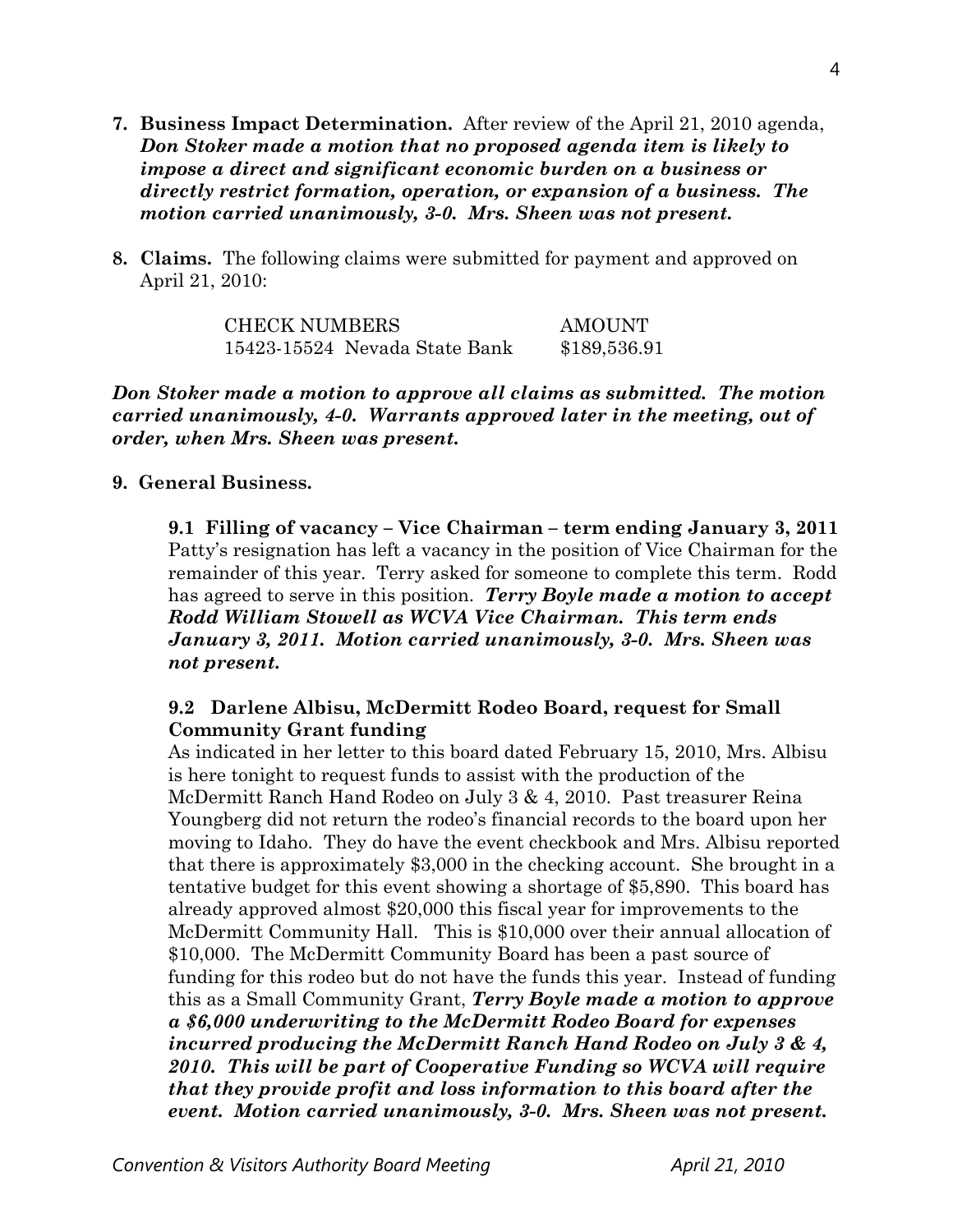- **7. Business Impact Determination.** After review of the April 21, 2010 agenda, *Don Stoker made a motion that no proposed agenda item is likely to impose a direct and significant economic burden on a business or directly restrict formation, operation, or expansion of a business. The motion carried unanimously, 3-0. Mrs. Sheen was not present.*
- **8. Claims.** The following claims were submitted for payment and approved on April 21, 2010:

CHECK NUMBERS AMOUNT 15423-15524 Nevada State Bank \$189,536.91

*Don Stoker made a motion to approve all claims as submitted. The motion carried unanimously, 4-0. Warrants approved later in the meeting, out of order, when Mrs. Sheen was present.*

## **9. General Business.**

**9.1 Filling of vacancy – Vice Chairman – term ending January 3, 2011**  Patty's resignation has left a vacancy in the position of Vice Chairman for the remainder of this year. Terry asked for someone to complete this term. Rodd has agreed to serve in this position. *Terry Boyle made a motion to accept Rodd William Stowell as WCVA Vice Chairman. This term ends January 3, 2011. Motion carried unanimously, 3-0. Mrs. Sheen was not present.* 

# **9.2 Darlene Albisu, McDermitt Rodeo Board, request for Small Community Grant funding**

As indicated in her letter to this board dated February 15, 2010, Mrs. Albisu is here tonight to request funds to assist with the production of the McDermitt Ranch Hand Rodeo on July 3 & 4, 2010. Past treasurer Reina Youngberg did not return the rodeo's financial records to the board upon her moving to Idaho. They do have the event checkbook and Mrs. Albisu reported that there is approximately \$3,000 in the checking account. She brought in a tentative budget for this event showing a shortage of \$5,890. This board has already approved almost \$20,000 this fiscal year for improvements to the McDermitt Community Hall. This is \$10,000 over their annual allocation of \$10,000. The McDermitt Community Board has been a past source of funding for this rodeo but do not have the funds this year. Instead of funding this as a Small Community Grant, *Terry Boyle made a motion to approve a \$6,000 underwriting to the McDermitt Rodeo Board for expenses incurred producing the McDermitt Ranch Hand Rodeo on July 3 & 4, 2010. This will be part of Cooperative Funding so WCVA will require that they provide profit and loss information to this board after the event. Motion carried unanimously, 3-0. Mrs. Sheen was not present.*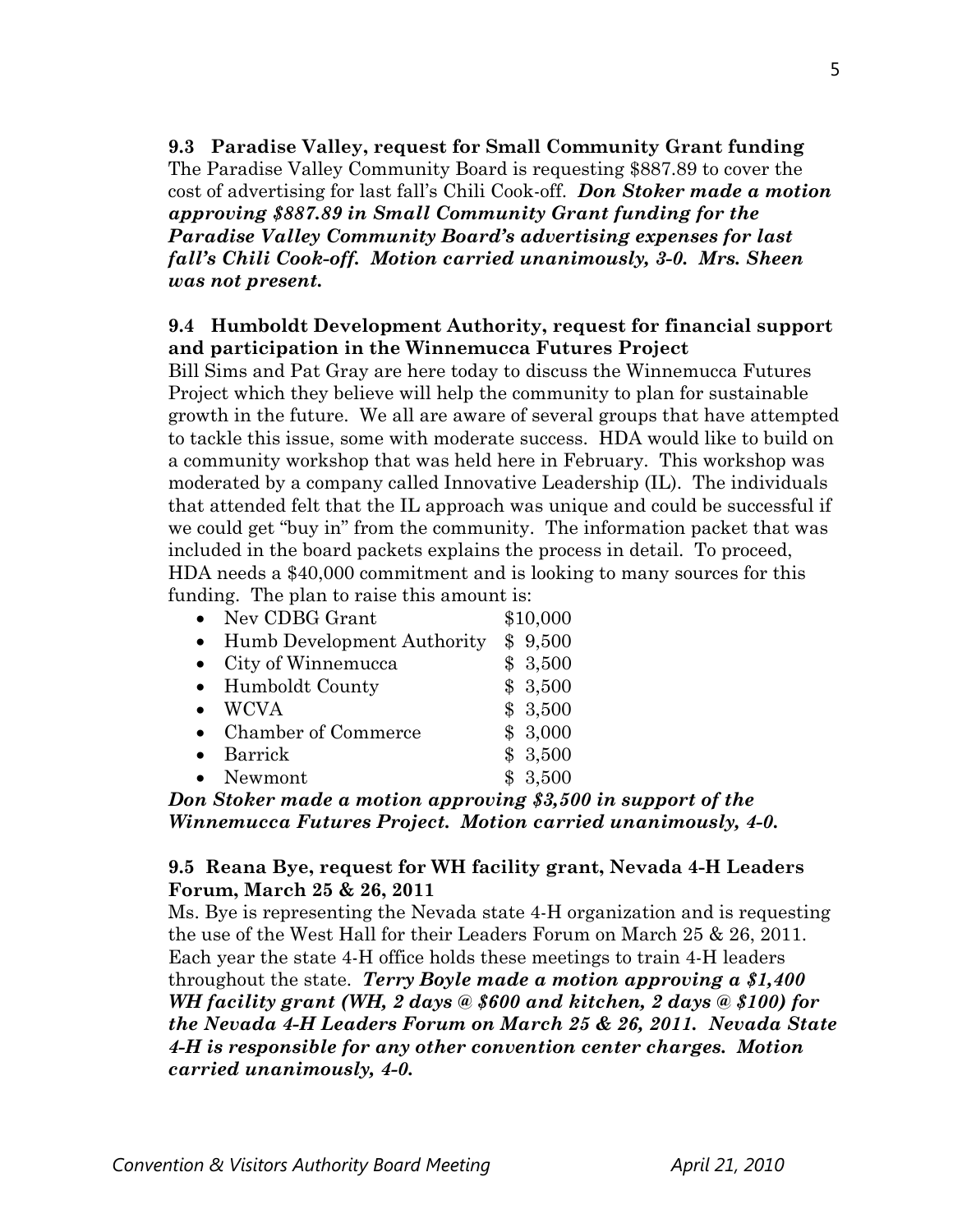**9.3 Paradise Valley, request for Small Community Grant funding**  The Paradise Valley Community Board is requesting \$887.89 to cover the cost of advertising for last fall's Chili Cook-off. *Don Stoker made a motion approving \$887.89 in Small Community Grant funding for the Paradise Valley Community Board's advertising expenses for last fall's Chili Cook-off. Motion carried unanimously, 3-0. Mrs. Sheen was not present.* 

## **9.4 Humboldt Development Authority, request for financial support and participation in the Winnemucca Futures Project**

Bill Sims and Pat Gray are here today to discuss the Winnemucca Futures Project which they believe will help the community to plan for sustainable growth in the future. We all are aware of several groups that have attempted to tackle this issue, some with moderate success. HDA would like to build on a community workshop that was held here in February. This workshop was moderated by a company called Innovative Leadership (IL). The individuals that attended felt that the IL approach was unique and could be successful if we could get "buy in" from the community. The information packet that was included in the board packets explains the process in detail. To proceed, HDA needs a \$40,000 commitment and is looking to many sources for this funding. The plan to raise this amount is:

|           | • Nev CDBG Grant           | \$10,000 |
|-----------|----------------------------|----------|
| $\bullet$ | Humb Development Authority | \$9,500  |
|           | • City of Winnemucca       | \$3,500  |
|           | • Humboldt County          | \$3,500  |
|           | $\bullet$ WCVA             | \$3,500  |
|           | • Chamber of Commerce      | \$3,000  |
|           | Barrick                    | \$3,500  |
|           | • Newmont                  | \$3,500  |
|           |                            |          |

*Don Stoker made a motion approving \$3,500 in support of the Winnemucca Futures Project. Motion carried unanimously, 4-0.* 

#### **9.5 Reana Bye, request for WH facility grant, Nevada 4-H Leaders Forum, March 25 & 26, 2011**

Ms. Bye is representing the Nevada state 4-H organization and is requesting the use of the West Hall for their Leaders Forum on March 25 & 26, 2011. Each year the state 4-H office holds these meetings to train 4-H leaders throughout the state. *Terry Boyle made a motion approving a \$1,400 WH facility grant (WH, 2 days @ \$600 and kitchen, 2 days @ \$100) for the Nevada 4-H Leaders Forum on March 25 & 26, 2011. Nevada State 4-H is responsible for any other convention center charges. Motion carried unanimously, 4-0.*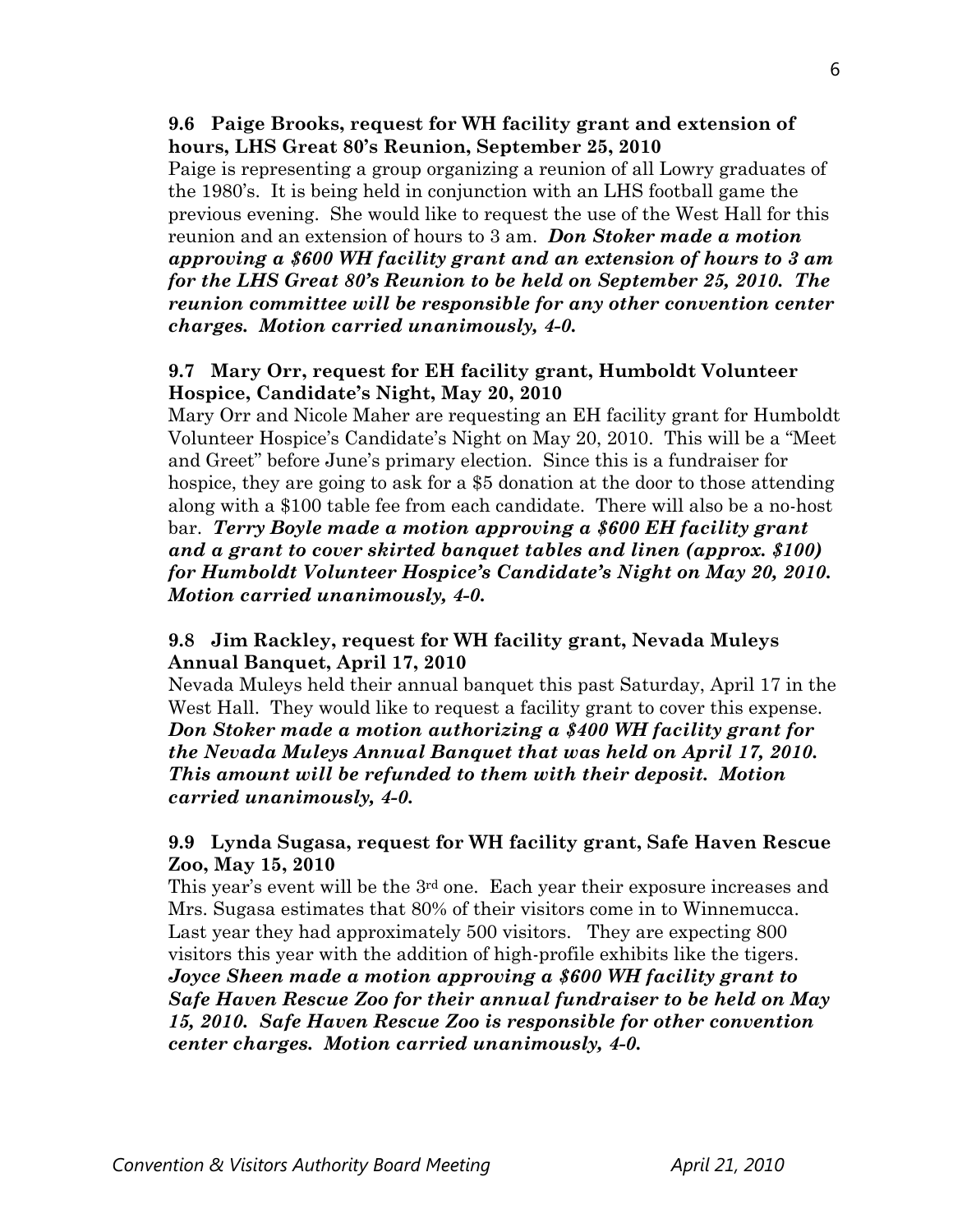**9.6 Paige Brooks, request for WH facility grant and extension of hours, LHS Great 80's Reunion, September 25, 2010** 

Paige is representing a group organizing a reunion of all Lowry graduates of the 1980's. It is being held in conjunction with an LHS football game the previous evening. She would like to request the use of the West Hall for this reunion and an extension of hours to 3 am. *Don Stoker made a motion approving a \$600 WH facility grant and an extension of hours to 3 am for the LHS Great 80's Reunion to be held on September 25, 2010. The reunion committee will be responsible for any other convention center charges. Motion carried unanimously, 4-0.* 

# **9.7 Mary Orr, request for EH facility grant, Humboldt Volunteer Hospice, Candidate's Night, May 20, 2010**

Mary Orr and Nicole Maher are requesting an EH facility grant for Humboldt Volunteer Hospice's Candidate's Night on May 20, 2010. This will be a "Meet and Greet" before June's primary election. Since this is a fundraiser for hospice, they are going to ask for a \$5 donation at the door to those attending along with a \$100 table fee from each candidate. There will also be a no-host bar. *Terry Boyle made a motion approving a \$600 EH facility grant and a grant to cover skirted banquet tables and linen (approx. \$100) for Humboldt Volunteer Hospice's Candidate's Night on May 20, 2010. Motion carried unanimously, 4-0.* 

# **9.8 Jim Rackley, request for WH facility grant, Nevada Muleys Annual Banquet, April 17, 2010**

Nevada Muleys held their annual banquet this past Saturday, April 17 in the West Hall. They would like to request a facility grant to cover this expense. *Don Stoker made a motion authorizing a \$400 WH facility grant for the Nevada Muleys Annual Banquet that was held on April 17, 2010. This amount will be refunded to them with their deposit. Motion carried unanimously, 4-0.* 

# **9.9 Lynda Sugasa, request for WH facility grant, Safe Haven Rescue Zoo, May 15, 2010**

This year's event will be the 3<sup>rd</sup> one. Each year their exposure increases and Mrs. Sugasa estimates that 80% of their visitors come in to Winnemucca. Last year they had approximately 500 visitors. They are expecting 800 visitors this year with the addition of high-profile exhibits like the tigers.

*Joyce Sheen made a motion approving a \$600 WH facility grant to Safe Haven Rescue Zoo for their annual fundraiser to be held on May 15, 2010. Safe Haven Rescue Zoo is responsible for other convention center charges. Motion carried unanimously, 4-0.*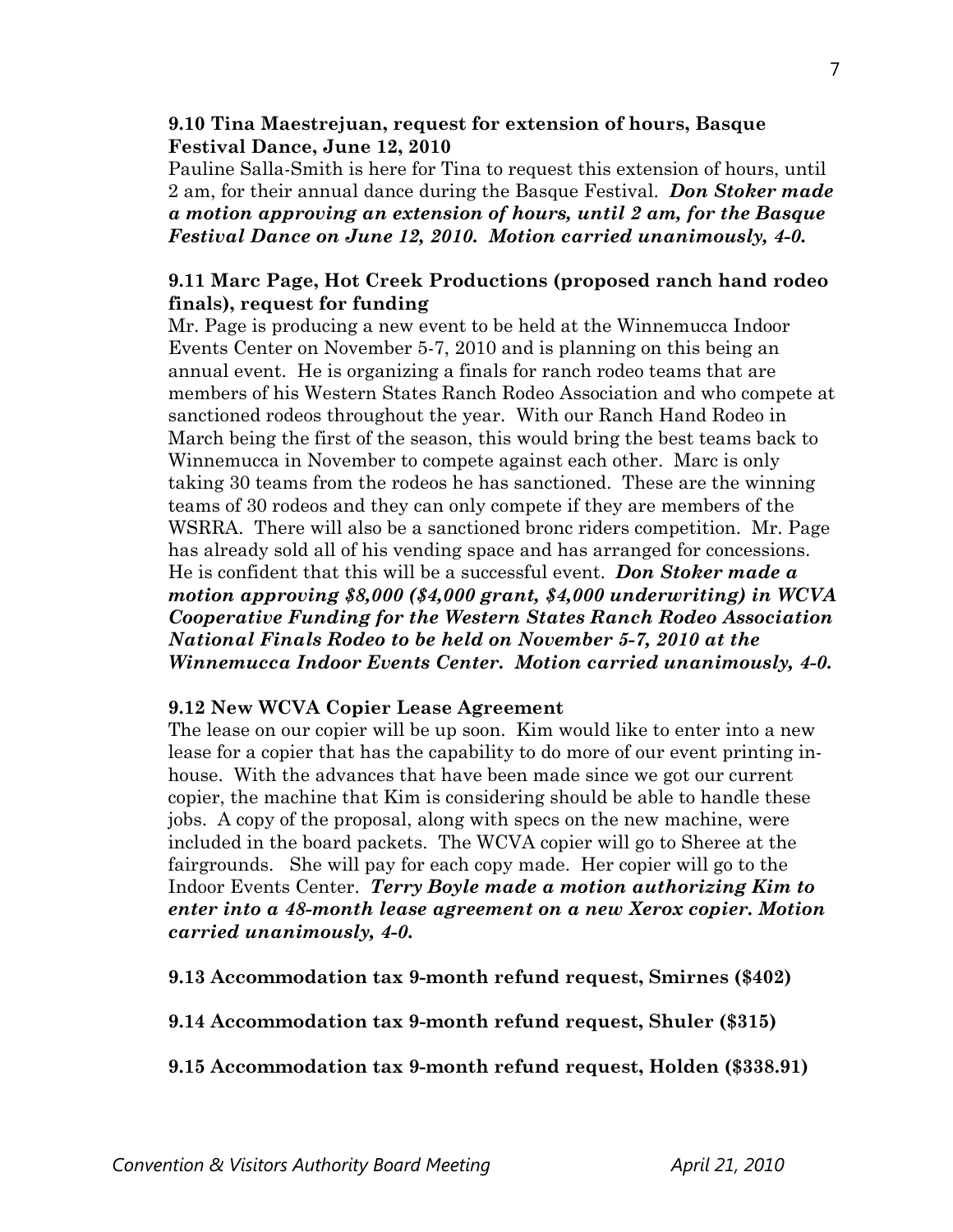#### **9.10 Tina Maestrejuan, request for extension of hours, Basque Festival Dance, June 12, 2010**

Pauline Salla-Smith is here for Tina to request this extension of hours, until 2 am, for their annual dance during the Basque Festival. *Don Stoker made a motion approving an extension of hours, until 2 am, for the Basque Festival Dance on June 12, 2010. Motion carried unanimously, 4-0.* 

# **9.11 Marc Page, Hot Creek Productions (proposed ranch hand rodeo finals), request for funding**

Mr. Page is producing a new event to be held at the Winnemucca Indoor Events Center on November 5-7, 2010 and is planning on this being an annual event. He is organizing a finals for ranch rodeo teams that are members of his Western States Ranch Rodeo Association and who compete at sanctioned rodeos throughout the year. With our Ranch Hand Rodeo in March being the first of the season, this would bring the best teams back to Winnemucca in November to compete against each other. Marc is only taking 30 teams from the rodeos he has sanctioned. These are the winning teams of 30 rodeos and they can only compete if they are members of the WSRRA. There will also be a sanctioned bronc riders competition. Mr. Page has already sold all of his vending space and has arranged for concessions. He is confident that this will be a successful event. *Don Stoker made a motion approving \$8,000 (\$4,000 grant, \$4,000 underwriting) in WCVA Cooperative Funding for the Western States Ranch Rodeo Association National Finals Rodeo to be held on November 5-7, 2010 at the Winnemucca Indoor Events Center. Motion carried unanimously, 4-0.* 

## **9.12 New WCVA Copier Lease Agreement**

The lease on our copier will be up soon. Kim would like to enter into a new lease for a copier that has the capability to do more of our event printing inhouse. With the advances that have been made since we got our current copier, the machine that Kim is considering should be able to handle these jobs. A copy of the proposal, along with specs on the new machine, were included in the board packets. The WCVA copier will go to Sheree at the fairgrounds. She will pay for each copy made. Her copier will go to the Indoor Events Center. *Terry Boyle made a motion authorizing Kim to enter into a 48-month lease agreement on a new Xerox copier. Motion carried unanimously, 4-0.* 

**9.13 Accommodation tax 9-month refund request, Smirnes (\$402)** 

**9.14 Accommodation tax 9-month refund request, Shuler (\$315)** 

**9.15 Accommodation tax 9-month refund request, Holden (\$338.91)**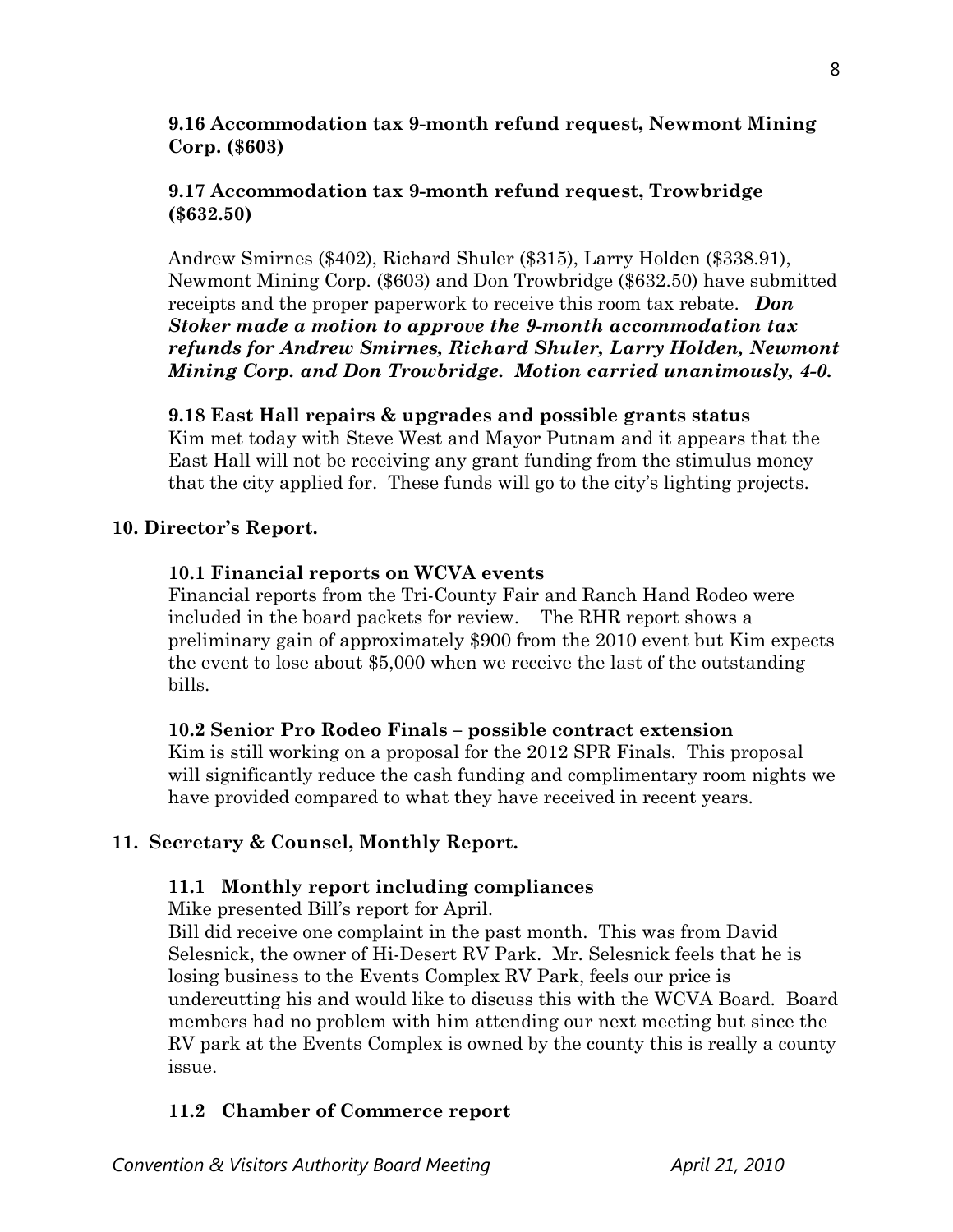# **9.16 Accommodation tax 9-month refund request, Newmont Mining Corp. (\$603)**

# **9.17 Accommodation tax 9-month refund request, Trowbridge (\$632.50)**

Andrew Smirnes (\$402), Richard Shuler (\$315), Larry Holden (\$338.91), Newmont Mining Corp. (\$603) and Don Trowbridge (\$632.50) have submitted receipts and the proper paperwork to receive this room tax rebate. *Don Stoker made a motion to approve the 9-month accommodation tax refunds for Andrew Smirnes, Richard Shuler, Larry Holden, Newmont Mining Corp. and Don Trowbridge. Motion carried unanimously, 4-0.* 

## **9.18 East Hall repairs & upgrades and possible grants status**

Kim met today with Steve West and Mayor Putnam and it appears that the East Hall will not be receiving any grant funding from the stimulus money that the city applied for. These funds will go to the city's lighting projects.

# **10. Director's Report.**

# **10.1 Financial reports on WCVA events**

Financial reports from the Tri-County Fair and Ranch Hand Rodeo were included in the board packets for review. The RHR report shows a preliminary gain of approximately \$900 from the 2010 event but Kim expects the event to lose about \$5,000 when we receive the last of the outstanding bills.

# **10.2 Senior Pro Rodeo Finals – possible contract extension**

Kim is still working on a proposal for the 2012 SPR Finals. This proposal will significantly reduce the cash funding and complimentary room nights we have provided compared to what they have received in recent years.

# **11. Secretary & Counsel, Monthly Report.**

## **11.1 Monthly report including compliances**

Mike presented Bill's report for April.

Bill did receive one complaint in the past month. This was from David Selesnick, the owner of Hi-Desert RV Park. Mr. Selesnick feels that he is losing business to the Events Complex RV Park, feels our price is undercutting his and would like to discuss this with the WCVA Board. Board members had no problem with him attending our next meeting but since the RV park at the Events Complex is owned by the county this is really a county issue.

# **11.2 Chamber of Commerce report**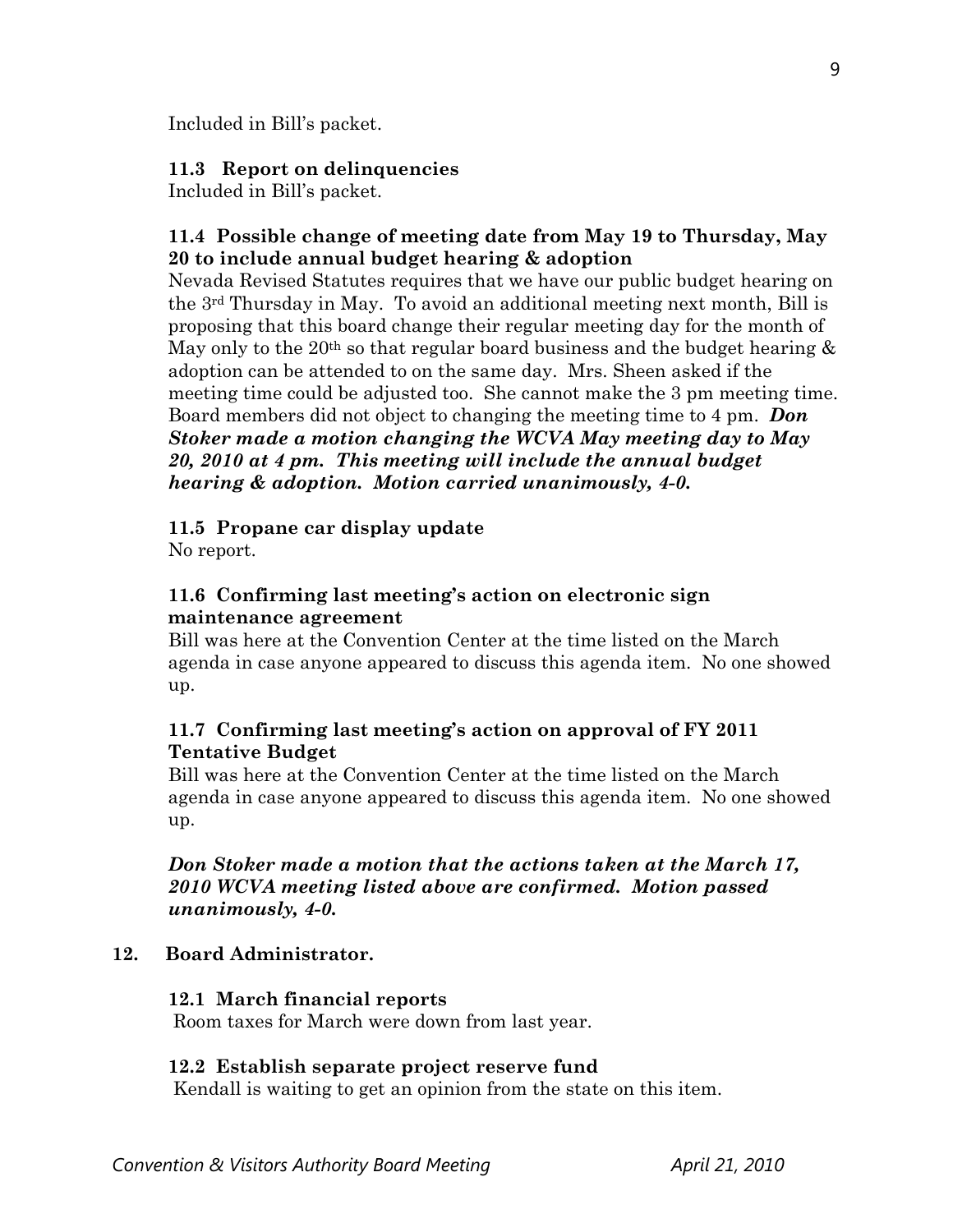Included in Bill's packet.

## **11.3 Report on delinquencies**

Included in Bill's packet.

# **11.4 Possible change of meeting date from May 19 to Thursday, May 20 to include annual budget hearing & adoption**

Nevada Revised Statutes requires that we have our public budget hearing on the 3rd Thursday in May. To avoid an additional meeting next month, Bill is proposing that this board change their regular meeting day for the month of May only to the 20<sup>th</sup> so that regular board business and the budget hearing  $\&$ adoption can be attended to on the same day. Mrs. Sheen asked if the meeting time could be adjusted too. She cannot make the 3 pm meeting time. Board members did not object to changing the meeting time to 4 pm. *Don Stoker made a motion changing the WCVA May meeting day to May 20, 2010 at 4 pm. This meeting will include the annual budget hearing & adoption. Motion carried unanimously, 4-0.* 

## **11.5 Propane car display update**

No report.

# **11.6 Confirming last meeting's action on electronic sign maintenance agreement**

Bill was here at the Convention Center at the time listed on the March agenda in case anyone appeared to discuss this agenda item. No one showed up.

# **11.7 Confirming last meeting's action on approval of FY 2011 Tentative Budget**

Bill was here at the Convention Center at the time listed on the March agenda in case anyone appeared to discuss this agenda item. No one showed up.

# *Don Stoker made a motion that the actions taken at the March 17, 2010 WCVA meeting listed above are confirmed. Motion passed unanimously, 4-0.*

# **12. Board Administrator.**

## **12.1 March financial reports**

Room taxes for March were down from last year.

## **12.2 Establish separate project reserve fund**

Kendall is waiting to get an opinion from the state on this item.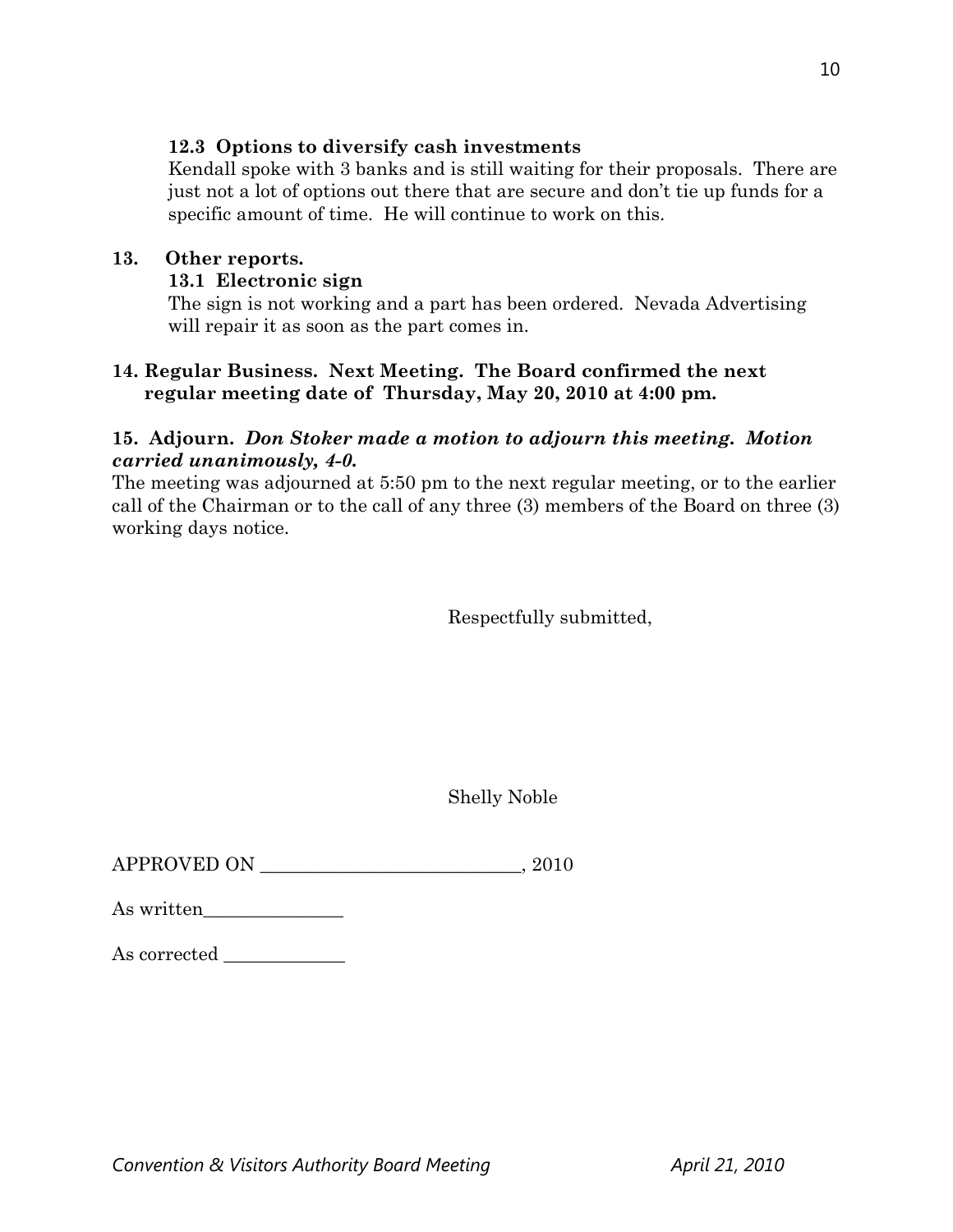## **12.3 Options to diversify cash investments**

Kendall spoke with 3 banks and is still waiting for their proposals. There are just not a lot of options out there that are secure and don't tie up funds for a specific amount of time. He will continue to work on this.

## **13. Other reports.**

# **13.1 Electronic sign**

The sign is not working and a part has been ordered. Nevada Advertising will repair it as soon as the part comes in.

# **14. Regular Business. Next Meeting. The Board confirmed the next regular meeting date of Thursday, May 20, 2010 at 4:00 pm.**

# **15. Adjourn.** *Don Stoker made a motion to adjourn this meeting. Motion carried unanimously, 4-0.*

The meeting was adjourned at 5:50 pm to the next regular meeting, or to the earlier call of the Chairman or to the call of any three (3) members of the Board on three (3) working days notice.

Respectfully submitted,

Shelly Noble

 $\begin{tabular}{c} \bf APPROVED ON \end{tabular} \begin{tabular}{c} \multicolumn{2}{c}{} \multicolumn{2}{c}{} \multicolumn{2}{c}{} \multicolumn{2}{c}{} \multicolumn{2}{c}{} \multicolumn{2}{c}{} \multicolumn{2}{c}{} \multicolumn{2}{c}{} \multicolumn{2}{c}{} \multicolumn{2}{c}{} \multicolumn{2}{c}{} \multicolumn{2}{c}{} \multicolumn{2}{c}{} \multicolumn{2}{c}{} \multicolumn{2}{c}{} \multicolumn{2}{c}{} \multicolumn{2}{c}{} \multicolumn{2}{c}{} \multicolumn{2}{c}{} \mult$ 

| As written |  |
|------------|--|
|            |  |

| $\operatorname{As\,corrected}$ |  |  |
|--------------------------------|--|--|
|                                |  |  |